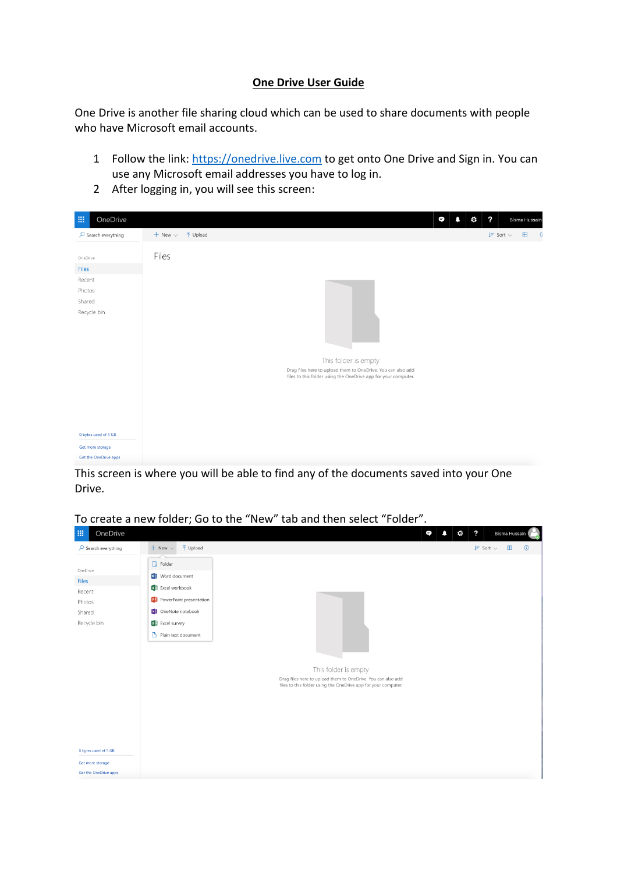## **One Drive User Guide**

One Drive is another file sharing cloud which can be used to share documents with people who have Microsoft email accounts.

- 1 Follow the link: [https://onedrive.live.com](https://onedrive.live.com/) to get onto One Drive and Sign in. You can use any Microsoft email addresses you have to log in.
- 2 After logging in, you will see this screen:

| 冊<br>OneDrive                                                         |                                                |                                                                                                                                |                      |  | Ξ | $\cdot$<br>¢ |                                 | Bisma Hussain |            |
|-----------------------------------------------------------------------|------------------------------------------------|--------------------------------------------------------------------------------------------------------------------------------|----------------------|--|---|--------------|---------------------------------|---------------|------------|
| $\sqrt{2}$ Search everything                                          | $+$ New $\vee$<br>$\overline{\uparrow}$ Upload |                                                                                                                                |                      |  |   |              | $\downarrow \equiv$ Sort $\vee$ | $\boxplus$    | $\sqrt{a}$ |
| OneDrive<br><b>Files</b><br>Recent<br>Photos<br>Shared<br>Recycle bin | Files                                          |                                                                                                                                |                      |  |   |              |                                 |               |            |
|                                                                       |                                                | Drag files here to upload them to OneDrive. You can also add<br>files to this folder using the OneDrive app for your computer. | This folder is empty |  |   |              |                                 |               |            |
|                                                                       |                                                |                                                                                                                                |                      |  |   |              |                                 |               |            |
| 0 bytes used of 5 GB                                                  |                                                |                                                                                                                                |                      |  |   |              |                                 |               |            |
| Get more storage<br>Get the OneDrive apps                             |                                                |                                                                                                                                |                      |  |   |              |                                 |               |            |

This screen is where you will be able to find any of the documents saved into your One Drive.

To create a new folder; Go to the "New" tab and then select "Folder".